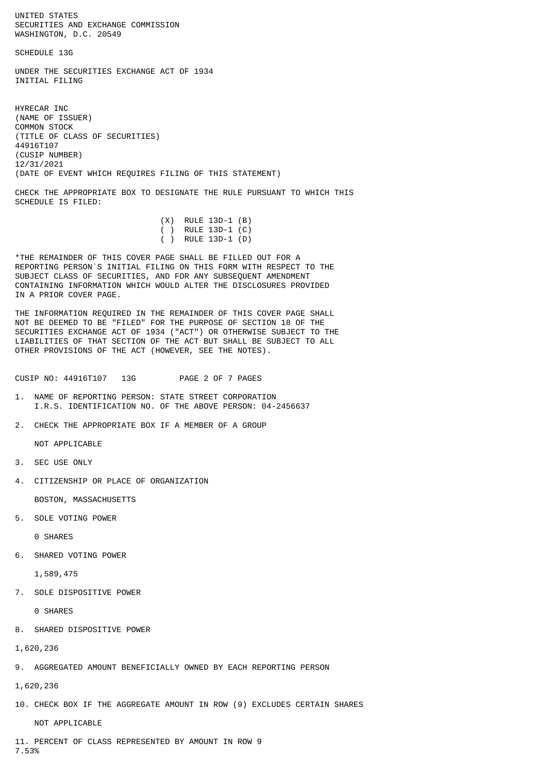UNITED STATES SECURITIES AND EXCHANGE COMMISSION WASHINGTON, D.C. 20549

SCHEDULE 13G

UNDER THE SECURITIES EXCHANGE ACT OF 1934 INITIAL FILING

HYRECAR INC (NAME OF ISSUER) COMMON STOCK (TITLE OF CLASS OF SECURITIES) 44916T107 (CUSIP NUMBER) 12/31/2021 (DATE OF EVENT WHICH REQUIRES FILING OF THIS STATEMENT)

CHECK THE APPROPRIATE BOX TO DESIGNATE THE RULE PURSUANT TO WHICH THIS SCHEDULE IS FILED:

|  | $(X)$ RULE 13D-1 $(B)$ |  |
|--|------------------------|--|
|  | ( ) RULE 13D-1 $(C)$   |  |
|  | ( ) RULE 13D-1 (D)     |  |

\*THE REMAINDER OF THIS COVER PAGE SHALL BE FILLED OUT FOR A REPORTING PERSON`S INITIAL FILING ON THIS FORM WITH RESPECT TO THE SUBJECT CLASS OF SECURITIES, AND FOR ANY SUBSEQUENT AMENDMENT CONTAINING INFORMATION WHICH WOULD ALTER THE DISCLOSURES PROVIDED IN A PRIOR COVER PAGE.

THE INFORMATION REQUIRED IN THE REMAINDER OF THIS COVER PAGE SHALL NOT BE DEEMED TO BE "FILED" FOR THE PURPOSE OF SECTION 18 OF THE SECURITIES EXCHANGE ACT OF 1934 ("ACT") OR OTHERWISE SUBJECT TO THE LIABILITIES OF THAT SECTION OF THE ACT BUT SHALL BE SUBJECT TO ALL OTHER PROVISIONS OF THE ACT (HOWEVER, SEE THE NOTES).

CUSIP NO: 44916T107 13G PAGE 2 OF 7 PAGES

- 1. NAME OF REPORTING PERSON: STATE STREET CORPORATION I.R.S. IDENTIFICATION NO. OF THE ABOVE PERSON: 04-2456637
- 2. CHECK THE APPROPRIATE BOX IF A MEMBER OF A GROUP

NOT APPLICABLE

- 3. SEC USE ONLY
- 4. CITIZENSHIP OR PLACE OF ORGANIZATION

BOSTON, MASSACHUSETTS

5. SOLE VOTING POWER

0 SHARES

6. SHARED VOTING POWER

1,589,475

7. SOLE DISPOSITIVE POWER

0 SHARES

8. SHARED DISPOSITIVE POWER

```
1,620,236
```
9. AGGREGATED AMOUNT BENEFICIALLY OWNED BY EACH REPORTING PERSON

1,620,236

10. CHECK BOX IF THE AGGREGATE AMOUNT IN ROW (9) EXCLUDES CERTAIN SHARES

NOT APPLICABLE

11. PERCENT OF CLASS REPRESENTED BY AMOUNT IN ROW 9 7.53%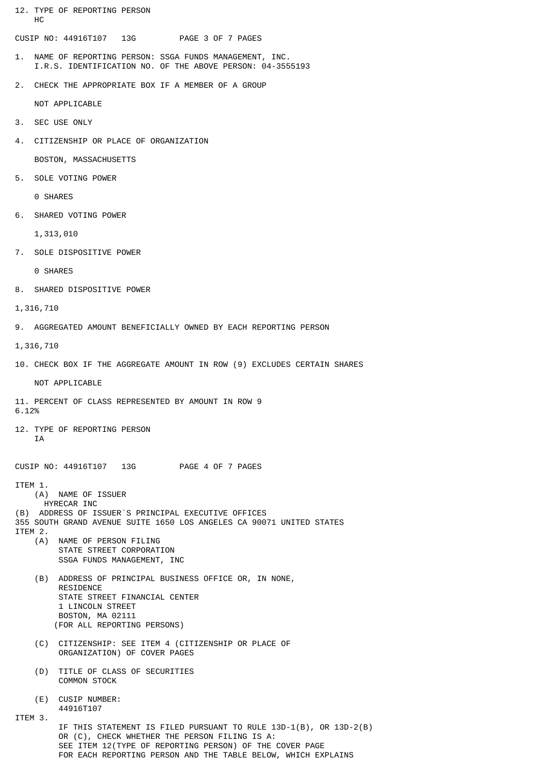12. TYPE OF REPORTING PERSON HC

CUSIP NO: 44916T107 13G PAGE 3 OF 7 PAGES

- 1. NAME OF REPORTING PERSON: SSGA FUNDS MANAGEMENT, INC. I.R.S. IDENTIFICATION NO. OF THE ABOVE PERSON: 04-3555193
- 2. CHECK THE APPROPRIATE BOX IF A MEMBER OF A GROUP

NOT APPLICABLE

- 3. SEC USE ONLY
- 4. CITIZENSHIP OR PLACE OF ORGANIZATION

BOSTON, MASSACHUSETTS

5. SOLE VOTING POWER

0 SHARES

6. SHARED VOTING POWER

1,313,010

7. SOLE DISPOSITIVE POWER

0 SHARES

- 8. SHARED DISPOSITIVE POWER
- 1,316,710
- 9. AGGREGATED AMOUNT BENEFICIALLY OWNED BY EACH REPORTING PERSON

1,316,710

10. CHECK BOX IF THE AGGREGATE AMOUNT IN ROW (9) EXCLUDES CERTAIN SHARES

NOT APPI TCABLE

- 11. PERCENT OF CLASS REPRESENTED BY AMOUNT IN ROW 9 6.12%
- 12. TYPE OF REPORTING PERSON **TA**

CUSIP NO: 44916T107 13G PAGE 4 OF 7 PAGES

ITEM 1.

- (A) NAME OF ISSUER HYRECAR INC
- (B) ADDRESS OF ISSUER`S PRINCIPAL EXECUTIVE OFFICES
- 355 SOUTH GRAND AVENUE SUITE 1650 LOS ANGELES CA 90071 UNITED STATES ITEM 2.
	- (A) NAME OF PERSON FILING STATE STREET CORPORATION SSGA FUNDS MANAGEMENT, INC
		- (B) ADDRESS OF PRINCIPAL BUSINESS OFFICE OR, IN NONE, RESIDENCE STATE STREET FINANCIAL CENTER 1 LINCOLN STREET BOSTON, MA 02111 (FOR ALL REPORTING PERSONS)
		- (C) CITIZENSHIP: SEE ITEM 4 (CITIZENSHIP OR PLACE OF ORGANIZATION) OF COVER PAGES
		- (D) TITLE OF CLASS OF SECURITIES COMMON STOCK
		- (E) CUSIP NUMBER: 44916T107

ITEM 3.

 IF THIS STATEMENT IS FILED PURSUANT TO RULE 13D-1(B), OR 13D-2(B) OR (C), CHECK WHETHER THE PERSON FILING IS A: SEE ITEM 12(TYPE OF REPORTING PERSON) OF THE COVER PAGE FOR EACH REPORTING PERSON AND THE TABLE BELOW, WHICH EXPLAINS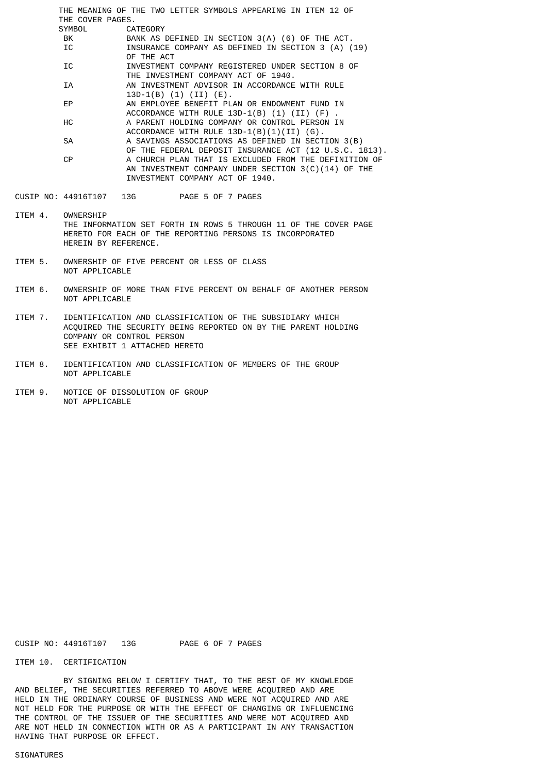THE MEANING OF THE TWO LETTER SYMBOLS APPEARING IN ITEM 12 OF THE COVER PAGES. CATEGORY BK BANK AS DEFINED IN SECTION 3(A) (6) OF THE ACT. IC INSURANCE COMPANY AS DEFINED IN SECTION 3 (A) (19) OF THE ACT IC INVESTMENT COMPANY REGISTERED UNDER SECTION 8 OF THE INVESTMENT COMPANY ACT OF 1940. IA AN INVESTMENT ADVISOR IN ACCORDANCE WITH RULE 13D-1(B) (1) (II) (E). EP AN EMPLOYEE BENEFIT PLAN OR ENDOWMENT FUND IN ACCORDANCE WITH RULE  $13D-1(B)$  (1) (II) (F) HC A PARENT HOLDING COMPANY OR CONTROL PERSON IN ACCORDANCE WITH RULE 13D-1(B)(1)(II) (G). SA A SAVINGS ASSOCIATIONS AS DEFINED IN SECTION 3(B) OF THE FEDERAL DEPOSIT INSURANCE ACT (12 U.S.C. 1813).<br>OP A CHURCH PLAN THAT IS EXCLUDED FROM THE DEFINITION OF A CHURCH PLAN THAT IS EXCLUDED FROM THE DEFINITION OF AN INVESTMENT COMPANY UNDER SECTION 3(C)(14) OF THE INVESTMENT COMPANY ACT OF 1940.

- CUSIP NO: 44916T107 13G PAGE 5 OF 7 PAGES
- ITEM 4. OWNERSHIP THE INFORMATION SET FORTH IN ROWS 5 THROUGH 11 OF THE COVER PAGE HERETO FOR EACH OF THE REPORTING PERSONS IS INCORPORATED HEREIN BY REFERENCE.
- ITEM 5. OWNERSHIP OF FIVE PERCENT OR LESS OF CLASS NOT APPLICABLE
- ITEM 6. OWNERSHIP OF MORE THAN FIVE PERCENT ON BEHALF OF ANOTHER PERSON NOT APPLICABLE
- ITEM 7. IDENTIFICATION AND CLASSIFICATION OF THE SUBSIDIARY WHICH ACQUIRED THE SECURITY BEING REPORTED ON BY THE PARENT HOLDING COMPANY OR CONTROL PERSON SEE EXHIBIT 1 ATTACHED HERETO
- ITEM 8. IDENTIFICATION AND CLASSIFICATION OF MEMBERS OF THE GROUP NOT APPLICABLE
- ITEM 9. NOTICE OF DISSOLUTION OF GROUP NOT APPLICABLE

CUSIP NO: 44916T107 13G PAGE 6 OF 7 PAGES

ITEM 10. CERTIFICATION

 BY SIGNING BELOW I CERTIFY THAT, TO THE BEST OF MY KNOWLEDGE AND BELIEF, THE SECURITIES REFERRED TO ABOVE WERE ACQUIRED AND ARE HELD IN THE ORDINARY COURSE OF BUSINESS AND WERE NOT ACQUIRED AND ARE NOT HELD FOR THE PURPOSE OR WITH THE EFFECT OF CHANGING OR INFLUENCING THE CONTROL OF THE ISSUER OF THE SECURITIES AND WERE NOT ACQUIRED AND ARE NOT HELD IN CONNECTION WITH OR AS A PARTICIPANT IN ANY TRANSACTION HAVING THAT PURPOSE OR EFFECT.